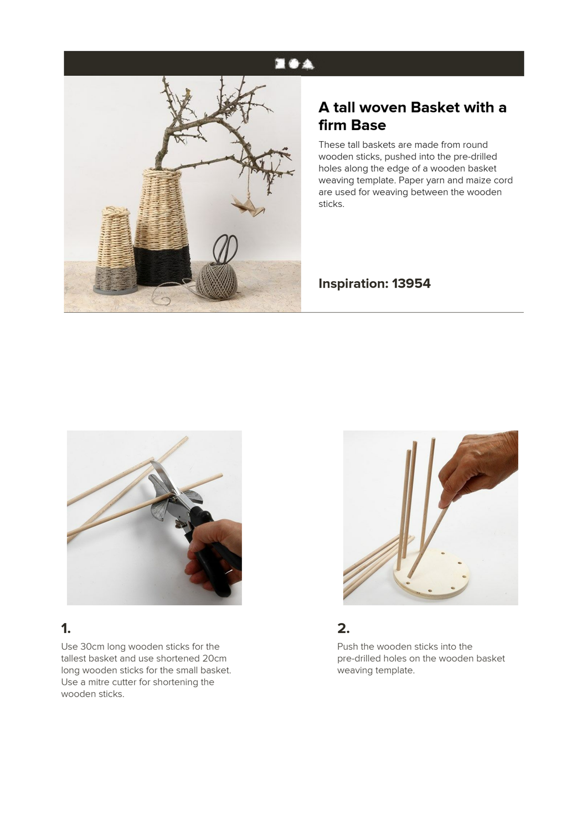# 医香泉



# **A tall woven Basket with a firm Base**

These tall baskets are made from round wooden sticks, pushed into the pre-drilled holes along the edge of a wooden basket weaving template. Paper yarn and maize cord are used for weaving between the wooden sticks.

#### **Inspiration: 13954**



# **1.**

Use 30cm long wooden sticks for the tallest basket and use shortened 20cm long wooden sticks for the small basket. Use a mitre cutter for shortening the wooden sticks.



#### **2.**

Push the wooden sticks into the pre-drilled holes on the wooden basket weaving template.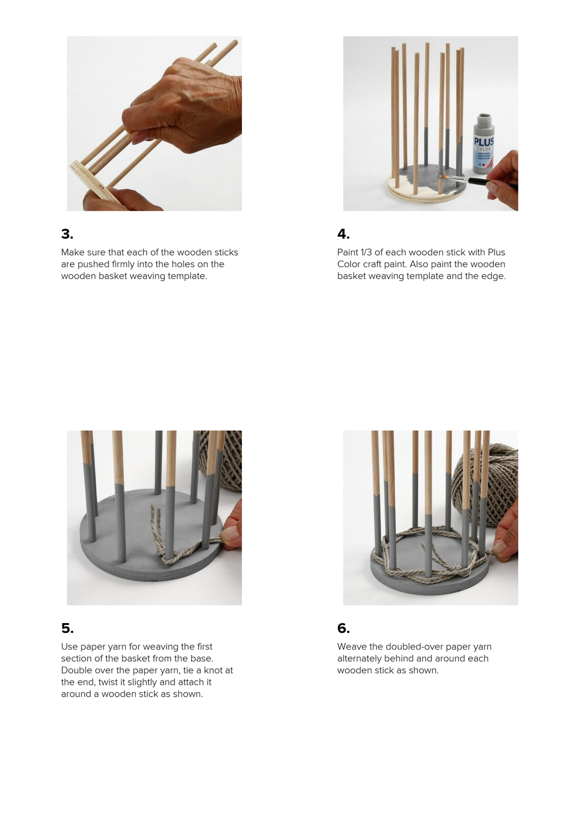

Make sure that each of the wooden sticks are pushed firmly into the holes on the wooden basket weaving template.



# **4.**

Paint 1/3 of each wooden stick with Plus Color craft paint. Also paint the wooden basket weaving template and the edge.



### **5.**

Use paper yarn for weaving the first section of the basket from the base. Double over the paper yarn, tie a knot at the end, twist it slightly and attach it around a wooden stick as shown.



### **6.**

Weave the doubled-over paper yarn alternately behind and around each wooden stick as shown.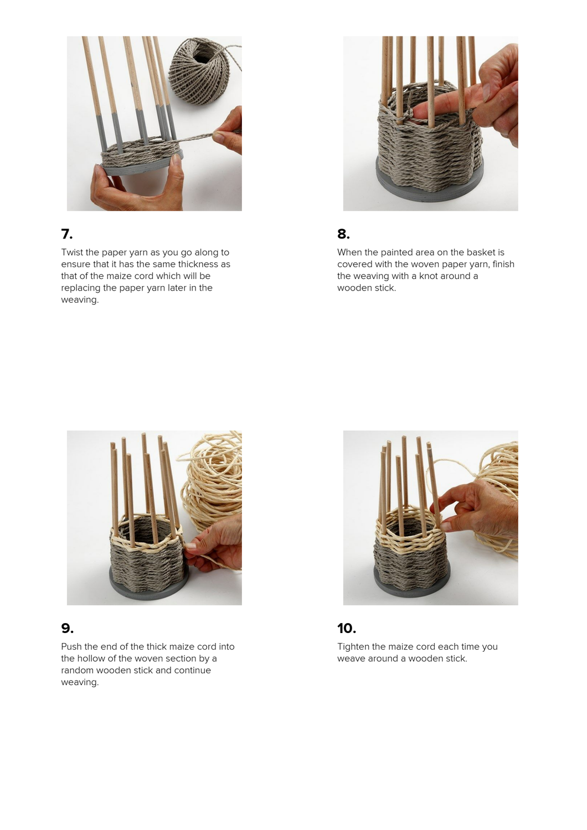

Twist the paper yarn as you go along to ensure that it has the same thickness as that of the maize cord which will be replacing the paper yarn later in the weaving.



### **8.**

When the painted area on the basket is covered with the woven paper yarn, finish the weaving with a knot around a wooden stick.



#### **9.**

Push the end of the thick maize cord into the hollow of the woven section by a random wooden stick and continue weaving.



### **10.**

Tighten the maize cord each time you weave around a wooden stick.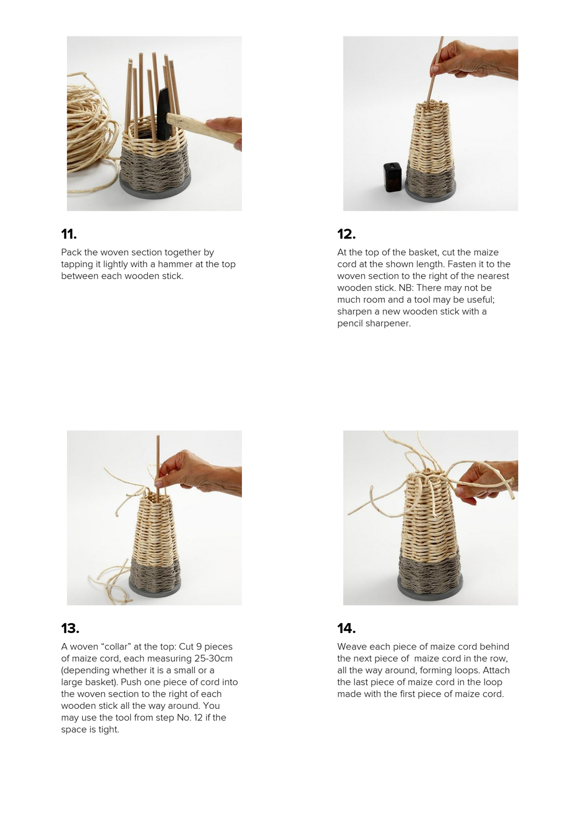

Pack the woven section together by tapping it lightly with a hammer at the top between each wooden stick.



# **12.**

At the top of the basket, cut the maize cord at the shown length. Fasten it to the woven section to the right of the nearest wooden stick. NB: There may not be much room and a tool may be useful; sharpen a new wooden stick with a pencil sharpener.



# **13.**

A woven "collar" at the top: Cut 9 pieces of maize cord, each measuring 25-30cm (depending whether it is a small or a large basket). Push one piece of cord into the woven section to the right of each wooden stick all the way around. You may use the tool from step No. 12 if the space is tight.



# **14.**

Weave each piece of maize cord behind the next piece of maize cord in the row, all the way around, forming loops. Attach the last piece of maize cord in the loop made with the first piece of maize cord.